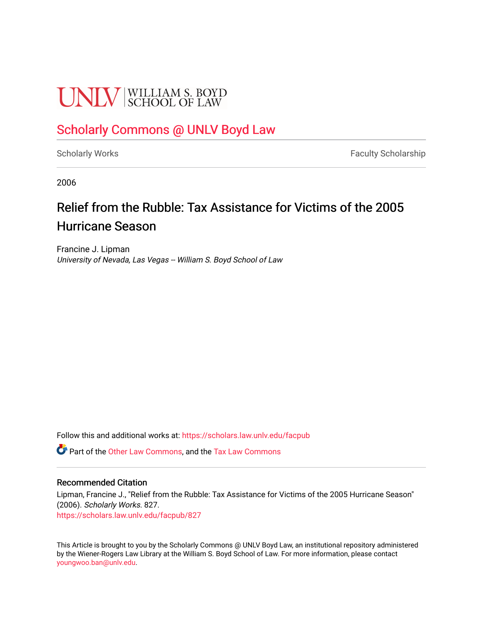# **UNIV** SCHOOL OF LAW

## [Scholarly Commons @ UNLV Boyd Law](https://scholars.law.unlv.edu/)

[Scholarly Works](https://scholars.law.unlv.edu/facpub) **Faculty Scholarship** Faculty Scholarship

2006

## Relief from the Rubble: Tax Assistance for Victims of the 2005 Hurricane Season

Francine J. Lipman University of Nevada, Las Vegas -- William S. Boyd School of Law

Follow this and additional works at: [https://scholars.law.unlv.edu/facpub](https://scholars.law.unlv.edu/facpub?utm_source=scholars.law.unlv.edu%2Ffacpub%2F827&utm_medium=PDF&utm_campaign=PDFCoverPages)

Part of the [Other Law Commons,](http://network.bepress.com/hgg/discipline/621?utm_source=scholars.law.unlv.edu%2Ffacpub%2F827&utm_medium=PDF&utm_campaign=PDFCoverPages) and the [Tax Law Commons](http://network.bepress.com/hgg/discipline/898?utm_source=scholars.law.unlv.edu%2Ffacpub%2F827&utm_medium=PDF&utm_campaign=PDFCoverPages)

#### Recommended Citation

Lipman, Francine J., "Relief from the Rubble: Tax Assistance for Victims of the 2005 Hurricane Season" (2006). Scholarly Works. 827. [https://scholars.law.unlv.edu/facpub/827](https://scholars.law.unlv.edu/facpub/827?utm_source=scholars.law.unlv.edu%2Ffacpub%2F827&utm_medium=PDF&utm_campaign=PDFCoverPages)

This Article is brought to you by the Scholarly Commons @ UNLV Boyd Law, an institutional repository administered by the Wiener-Rogers Law Library at the William S. Boyd School of Law. For more information, please contact [youngwoo.ban@unlv.edu.](mailto:youngwoo.ban@unlv.edu)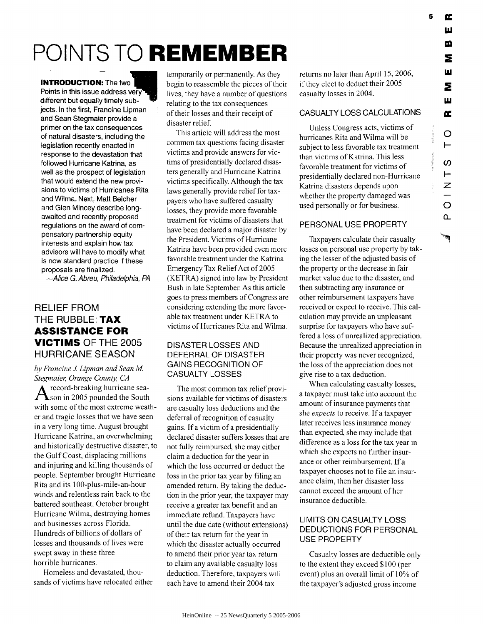W

# **POINTS TO REMEMBER**

#### **INTRODUCTION:** The two

Points in this issue address very different but equally timely subjects. In the first, Francine Lipman and Sean Stegmaier provide a primer on the tax consequences of natural disasters, including the legislation recently enacted in response to the devastation that followed Hurricane Katrina, as well as the prospect of legislation that would extend the new provisions to victims of Hurricanes Rita and Wilma. Next, Matt Belcher and Glen Mincey describe longawaited and recently proposed regulations on the award of compensatory partnership equity interests and explain how tax advisors will have to modify what is now standard practice if these proposals are finalized.

*-Alice* G. Abreu, Philadelphia, PA

### RELIEF FROM THE RUBBLE: **TAX ASSISTANCE FOR VICTIMS** OF THE **2005 HURRICANE SEASON**

*by Francine J Lipman and Sean M. Stegmaier Orange County, CA*

record-breaking hurricane sea-**S**son in 2005 pounded the South with some of the most extreme weather and tragic losses that we have seen in a very long time. August brought Hurricane Katrina, an overwhelming and historically destructive disaster, to the Gulf Coast, displacing millions and injuring and killing thousands of people. September brought Hurricane Rita and its 100-plus-mile-an-hour winds and relentless rain back to the battered southeast. October brought Hurricane Wilma, destroying homes and businesses across Florida. Hundreds of billions of dollars of losses and thousands of lives were swept away in these three horrible hurricanes.

Homeless and devastated, thousands of victims have relocated either temporarily or permanently. As they begin to reassemble the pieces of their lives, they have a number of questions relating to the tax consequences of their losses and their receipt of disaster relief.

This article will address the most common tax questions facing disaster victims and provide answers for victims of presidentially declared disasters generally and Hurricane Katrina victims specifically. Although the tax laws generally provide relief for taxpayers who have suffered casualty losses, they provide more favorable treatment for victims of disasters that have been declared a major disaster by the President. Victims of Hurricane Katrina have been provided even more favorable treatment under the Katrina Emergency Tax Relief Act of 2005 (KETRA) signed into law by President Bush in late September. As this article goes to press members of Congress are considering extending the more favorable tax treatment under KETRA to victims of Hurricanes Rita and Wilma.

#### DISASTER LOSSES AND DEFERRAL OF DISASTER GAINS RECOGNITION OF CASUALTY LOSSES

The most common tax relief provisions available for victims of disasters are casualty loss deductions and the deferral of recognition of casualty gains. If a victim of a presidentially declared disaster suffers losses that are not fully reimbursed, she may either claim a deduction for the year in which the loss occurred or deduct the loss in the prior tax year by filing an amended return. By taking the deduction in the prior year, the taxpayer may receive a greater tax benefit and an immediate refund. Taxpayers have until the due date (without extensions) of their tax return for the year in which the disaster actually occurred to amend their prior year tax return to claim any available casualty loss deduction. Therefore, taxpayers will each have to amend their 2004 tax

returns no later than April 15, 2006, if they elect to deduct their 2005 casualty losses in 2004.

#### CASUALTY LOSS CALCULATIONS

Unless Congress acts, victims of hurricanes Rita and Wilma will be subject to less favorable tax treatment than victims of Katrina. This less favorable treatment for victims of presidentially declared non-Hurricane Katrina disasters depends upon whether the property damaged was used personally or for business.

#### PERSONAL USE PROPERTY

Taxpayers calculate their casualty losses on personal use property by taking the lesser of the adjusted basis of the property or the decrease in fair market value due to the disaster, and then subtracting any insurance or other reimbursement taxpayers have received or expect to receive. This calculation may provide an unpleasant surprise for taxpayers who have suffered a loss of unrealized appreciation. Because the unrealized appreciation in their property was never recognized, the loss of the appreciation does not give rise to a tax deduction.

When calculating casualty losses, a taxpayer must take into account the amount of insurance payments that she *expects* to receive. If a taxpayer later receives less insurance money than expected, she may include that difference as a loss for the tax year in which she expects no further insurance or other reimbursement. If a taxpayer chooses not to file an insurance claim, then her disaster loss cannot exceed the amount of her insurance deductible.

#### LIMITS ON CASUALTY LOSS DEDUCTIONS FOR PERSONAL USE PROPERTY

Casualty losses are deductible only to the extent they exceed \$100 (per event) plus an overall limit of **10%** of the taxpayer's adjusted gross income

œ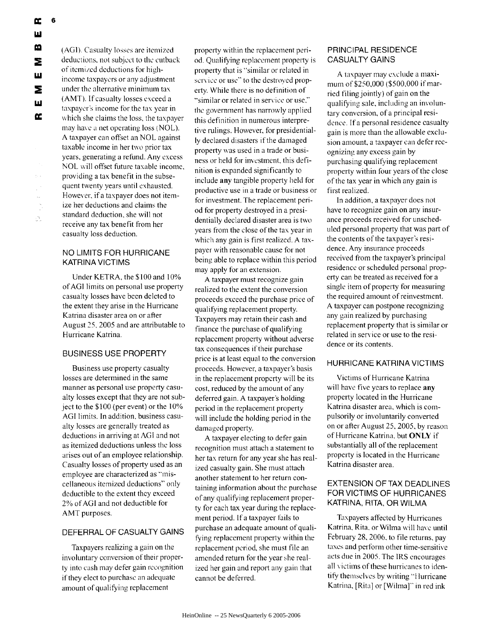(AGI), Casualty losses are itemized deductions, not subject to the cutback of itemized deductions for highincome taxpayers or any adjustment under the alternative minimum tax (AMT). If casualty losses exceed a taxpayer's income for the tax year in which she claims the loss, the taxpayer may have a net operating loss (NOL). A taxpayer can offset an NOL against taxable income in her two prior tax years, generating a refund. Any excess NOL will offset future taxable income, providing a tax benefit in the subsequent twenty years until exhausted. However, if a taxpayer does not itemize her deductions and claims the standard deduction, she will not receive any tax benefit from her casualty loss deduction.

#### NO LIMITS FOR HURRICANE KATRINA VICTIMS

Under KETRA, the \$100 and 10% of **AGI** limits on personal use property casualty losses have been deleted to the extent they arise in the Hurricane Katrina disaster area on or after August 25, 2005 and are attributable to Hurricane Katrina.

#### BUSINESS USE PROPERTY

Business use property casualty losses are determined in the same manner as personal use property casualty losses except that they are not subject to the \$100 (per event) or the 10% AGI limits. In addition, business casualty losses are generally treated as deductions in arriving at AGI and not as itemized deductions unless the loss arises out of an employee relationship. Casualty losses of property used as an employee are characterized as "niscellaneous itemized deductions" only deductible to the extent they exceed 2% of **AGI** and not deductible for AMT purposes.

#### DEFERRAL OF CASUALTY GAINS

Taxpayers realizing a gain on the involuntary conversion of their property into cash may defer gain recognition if they elect to purchase an adequate amount of qualifying replacement

property within the replacement period. Qualifying replacement property is property that is "similar or related in service or use" to the destroyed property. While there is no definition of "similar or related in service or use," the government has narrowly applied this definition in numerous interpretive rulings. However, for presidentially declared disasters if the damaged property was used in a trade or business or held for investment, this definition is expanded significantly to include any tangible property held for productive use in a trade or business or for investment. The replacement period for property destroyed in a presidentially declared disaster area is two years from the close of the tax year in which any gain is first realized. A taxpayer with reasonable cause for not being able to replace within this period may apply for an extension.

A taxpayer must recognize gain realized to the extent the conversion proceeds exceed the purchase price of qualifying replacement property. Taxpayers may retain their cash and finance the purchase of qualifying replacement property without adverse tax consequences if their purchase price is at least equal to the conversion proceeds. However, a taxpayer's basis in the replacement property will be its cost, reduced by the amount of any deferred gain. A taxpayer's holding period in the replacement property will include the holding period in the damaged property.

A taxpayer electing to defer gain recognition must attach a statement to her tax return for any year she has realized casualty gain. She must attach another statement to her return containing information about the purchase of any qualifying replacement property for each tax year during the replacement period. **Ifa** taxpayer tails to purchase an adequate amount of qualifying replacement property within the replacement period, she must file an amended return for the year she realized her gain and report any gain that cannot be deferred.

#### PRINCIPAL RESIDENCE CASUALTY GAINS

A taxpayer may exclude a maximum of \$250,000 (\$500,000 if married filing jointly) of gain on the qualifying sale, including an involuntary conversion, of a principal residence. If a personal residence casualty gain is more than the allowable exclusion amount, a taxpayer can defer recognizing any excess gain by purchasing qualifying replacement property within four years of the close of the tax year in which any gain is first realized.

In addition, a taxpayer does not have to recognize gain on any insurance proceeds received for unscheduled personal property that was part of the contents of the taxpayer's residence. Any insurance proceeds received from the taxpayer's principal residence or scheduled personal property can be treated as received for a single item of property for measuring the required amount of reinvestment. A taxpayer can postpone recognizing any gain realized by purchasing replacement property that is similar or related in service or use to the residence or its contents.

#### HURRICANE KATRINA VICTIMS

Victims of Hurricane Katrina will have five years to replace **any** property located in the Hurricane Katrina disaster area, which is compulsorily or involuntarily converted on or after August **25,** 2005, by reason of Hurricane Katrina, but ONLY **if** substantially all of the replacement property is located in the Hurricane Katrina disaster area.

#### EXTENSION OF TAX DEADLINES FOR VICTIMS OF HURRICANES KATRINA, RITA, OR WILMA

Taxpayers affected by Hurricanes Katrina, Rita, or Wilma will have until February *28,* 2006, to file returns, pay taxes and perform other time-sensitive acts due in 2005. The IRS encourages all **\** ictims of these hurricanes to identify themselves by writing **"I** lurricane Katrina, [Rita] or [Wilna]" in red ink

 $\bar{\mathcal{A}}$ 

ð.